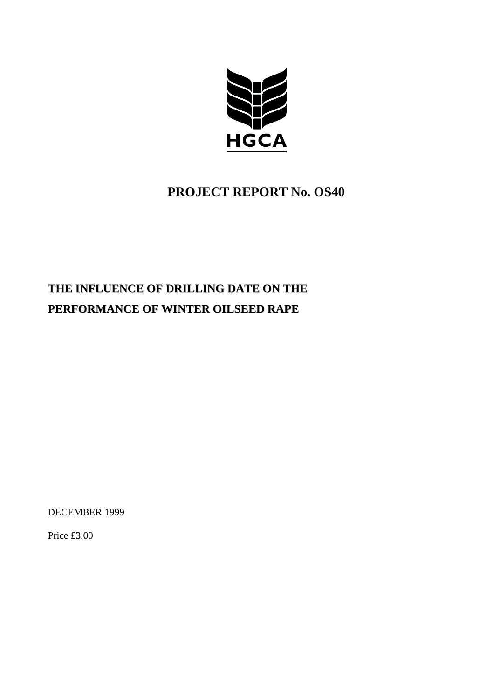

## **PROJECT REPORT No. OS40**

# **THE INFLUENCE OF DRILLING DATE ON THE PERFORMANCE OF WINTER OILSEED RAPE**

DECEMBER 1999

Price £3.00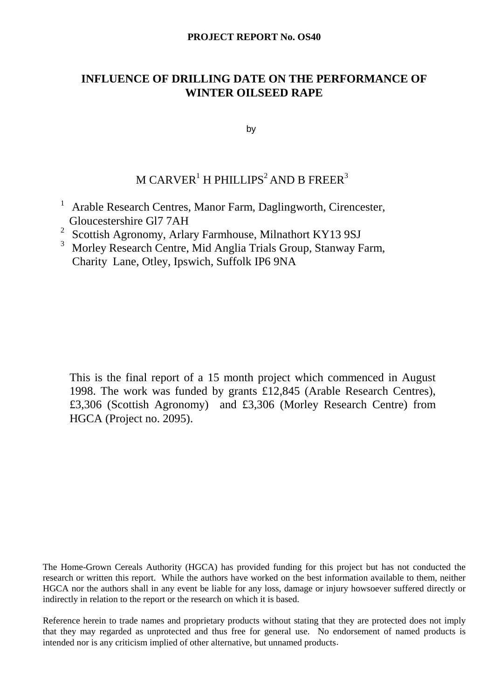#### **PROJECT REPORT No. OS40**

### **INFLUENCE OF DRILLING DATE ON THE PERFORMANCE OF WINTER OILSEED RAPE**

by

### M CARVER $^{\rm l}$  H PHILLIPS $^{\rm 2}$  AND B FREER $^{\rm 3}$

- <sup>1</sup> Arable Research Centres, Manor Farm, Daglingworth, Cirencester, Gloucestershire Gl7 7AH
- <sup>2</sup> Scottish Agronomy, Arlary Farmhouse, Milnathort KY13 9SJ
- 3 Morley Research Centre, Mid Anglia Trials Group, Stanway Farm, Charity Lane, Otley, Ipswich, Suffolk IP6 9NA

This is the final report of a 15 month project which commenced in August 1998. The work was funded by grants £12,845 (Arable Research Centres), £3,306 (Scottish Agronomy) and £3,306 (Morley Research Centre) from HGCA (Project no. 2095).

The Home-Grown Cereals Authority (HGCA) has provided funding for this project but has not conducted the research or written this report. While the authors have worked on the best information available to them, neither HGCA nor the authors shall in any event be liable for any loss, damage or injury howsoever suffered directly or indirectly in relation to the report or the research on which it is based.

Reference herein to trade names and proprietary products without stating that they are protected does not imply that they may regarded as unprotected and thus free for general use. No endorsement of named products is intended nor is any criticism implied of other alternative, but unnamed products.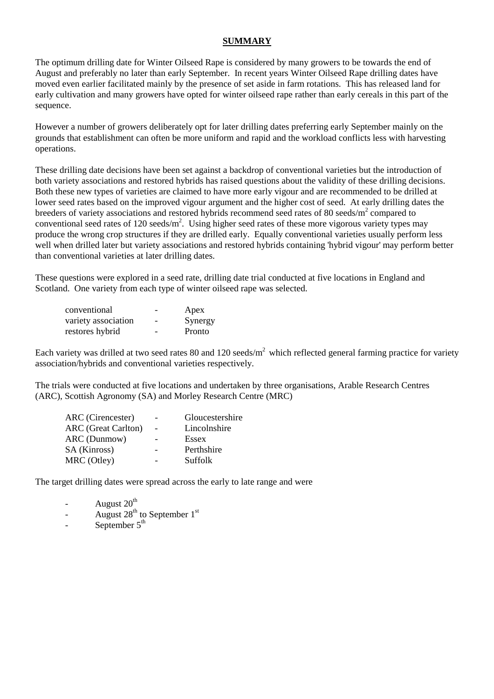#### **SUMMARY**

The optimum drilling date for Winter Oilseed Rape is considered by many growers to be towards the end of August and preferably no later than early September. In recent years Winter Oilseed Rape drilling dates have moved even earlier facilitated mainly by the presence of set aside in farm rotations. This has released land for early cultivation and many growers have opted for winter oilseed rape rather than early cereals in this part of the sequence.

However a number of growers deliberately opt for later drilling dates preferring early September mainly on the grounds that establishment can often be more uniform and rapid and the workload conflicts less with harvesting operations.

These drilling date decisions have been set against a backdrop of conventional varieties but the introduction of both variety associations and restored hybrids has raised questions about the validity of these drilling decisions. Both these new types of varieties are claimed to have more early vigour and are recommended to be drilled at lower seed rates based on the improved vigour argument and the higher cost of seed. At early drilling dates the breeders of variety associations and restored hybrids recommend seed rates of 80 seeds/m<sup>2</sup> compared to conventional seed rates of 120 seeds/ $m^2$ . Using higher seed rates of these more vigorous variety types may produce the wrong crop structures if they are drilled early. Equally conventional varieties usually perform less well when drilled later but variety associations and restored hybrids containing 'hybrid vigour' may perform better than conventional varieties at later drilling dates.

These questions were explored in a seed rate, drilling date trial conducted at five locations in England and Scotland. One variety from each type of winter oilseed rape was selected.

| conventional        |                          | Apex    |
|---------------------|--------------------------|---------|
| variety association | $\overline{\phantom{0}}$ | Synergy |
| restores hybrid     | $\overline{\phantom{0}}$ | Pronto  |

Each variety was drilled at two seed rates 80 and 120 seeds/ $m<sup>2</sup>$  which reflected general farming practice for variety association/hybrids and conventional varieties respectively.

The trials were conducted at five locations and undertaken by three organisations, Arable Research Centres (ARC), Scottish Agronomy (SA) and Morley Research Centre (MRC)

| Gloucestershire |
|-----------------|
| Lincolnshire    |
| Essex           |
| Perthshire      |
| Suffolk         |
|                 |

The target drilling dates were spread across the early to late range and were

- August 20<sup>th</sup>
- August  $28<sup>th</sup>$  to September 1<sup>st</sup>
- September  $5<sup>th</sup>$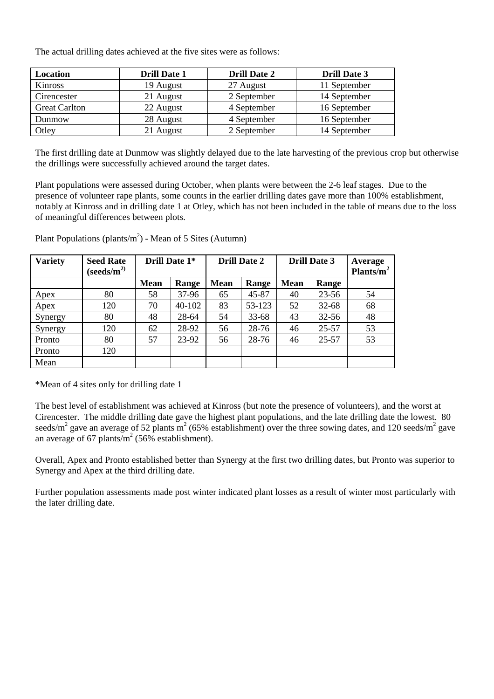The actual drilling dates achieved at the five sites were as follows:

| Location             | <b>Drill Date 1</b> | <b>Drill Date 2</b> | <b>Drill Date 3</b> |
|----------------------|---------------------|---------------------|---------------------|
| Kinross              | 19 August           | 27 August           | 11 September        |
| Cirencester          | 21 August           | 2 September         | 14 September        |
| <b>Great Carlton</b> | 22 August           | 4 September         | 16 September        |
| Dunmow               | 28 August           | 4 September         | 16 September        |
| Otley                | 21 August           | 2 September         | 14 September        |

The first drilling date at Dunmow was slightly delayed due to the late harvesting of the previous crop but otherwise the drillings were successfully achieved around the target dates.

Plant populations were assessed during October, when plants were between the 2-6 leaf stages. Due to the presence of volunteer rape plants, some counts in the earlier drilling dates gave more than 100% establishment, notably at Kinross and in drilling date 1 at Otley, which has not been included in the table of means due to the loss of meaningful differences between plots.

| <b>Variety</b> | <b>Seed Rate</b><br>(seeds/ $\mathbf{m}^{2)}$ | Drill Date 1* |        | <b>Drill Date 2</b> |        | <b>Drill Date 3</b> |           | Average<br>Plants/ $m^2$ |
|----------------|-----------------------------------------------|---------------|--------|---------------------|--------|---------------------|-----------|--------------------------|
|                |                                               | <b>Mean</b>   | Range  | <b>Mean</b>         | Range  | <b>Mean</b>         | Range     |                          |
| Apex           | 80                                            | 58            | 37-96  | 65                  | 45-87  | 40                  | $23 - 56$ | 54                       |
| Apex           | 120                                           | 70            | 40-102 | 83                  | 53-123 | 52                  | $32 - 68$ | 68                       |
| Synergy        | 80                                            | 48            | 28-64  | 54                  | 33-68  | 43                  | $32 - 56$ | 48                       |
| Synergy        | 120                                           | 62            | 28-92  | 56                  | 28-76  | 46                  | 25-57     | 53                       |
| Pronto         | 80                                            | 57            | 23-92  | 56                  | 28-76  | 46                  | 25-57     | 53                       |
| Pronto         | 120                                           |               |        |                     |        |                     |           |                          |
| Mean           |                                               |               |        |                     |        |                     |           |                          |

Plant Populations (plants/ $m<sup>2</sup>$ ) - Mean of 5 Sites (Autumn)

\*Mean of 4 sites only for drilling date 1

The best level of establishment was achieved at Kinross (but note the presence of volunteers), and the worst at Cirencester. The middle drilling date gave the highest plant populations, and the late drilling date the lowest. 80 seeds/m<sup>2</sup> gave an average of 52 plants m<sup>2</sup> (65% establishment) over the three sowing dates, and 120 seeds/m<sup>2</sup> gave an average of 67 plants/ $m^2$  (56% establishment).

Overall, Apex and Pronto established better than Synergy at the first two drilling dates, but Pronto was superior to Synergy and Apex at the third drilling date.

Further population assessments made post winter indicated plant losses as a result of winter most particularly with the later drilling date.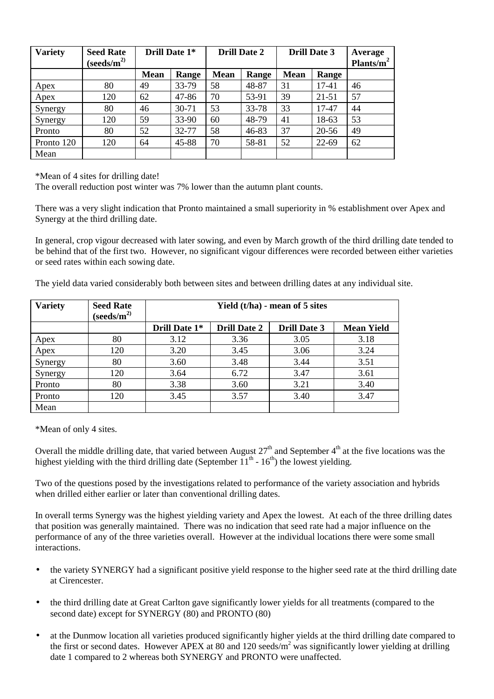| <b>Variety</b> | <b>Seed Rate</b><br>(s <sub>eeds/m</sub> <sup>2</sup> ) | Drill Date 1* |       | <b>Drill Date 2</b> |       | <b>Drill Date 3</b> |           | Average<br>Plants/ $m^2$ |
|----------------|---------------------------------------------------------|---------------|-------|---------------------|-------|---------------------|-----------|--------------------------|
|                |                                                         | <b>Mean</b>   | Range | <b>Mean</b>         | Range | <b>Mean</b>         | Range     |                          |
| Apex           | 80                                                      | 49            | 33-79 | 58                  | 48-87 | 31                  | 17-41     | 46                       |
| Apex           | 120                                                     | 62            | 47-86 | 70                  | 53-91 | 39                  | $21 - 51$ | 57                       |
| Synergy        | 80                                                      | 46            | 30-71 | 53                  | 33-78 | 33                  | 17-47     | 44                       |
| Synergy        | 120                                                     | 59            | 33-90 | 60                  | 48-79 | 41                  | 18-63     | 53                       |
| Pronto         | 80                                                      | 52            | 32-77 | 58                  | 46-83 | 37                  | 20-56     | 49                       |
| Pronto 120     | 120                                                     | 64            | 45-88 | 70                  | 58-81 | 52                  | $22 - 69$ | 62                       |
| Mean           |                                                         |               |       |                     |       |                     |           |                          |

\*Mean of 4 sites for drilling date!

The overall reduction post winter was 7% lower than the autumn plant counts.

There was a very slight indication that Pronto maintained a small superiority in % establishment over Apex and Synergy at the third drilling date.

In general, crop vigour decreased with later sowing, and even by March growth of the third drilling date tended to be behind that of the first two. However, no significant vigour differences were recorded between either varieties or seed rates within each sowing date.

The yield data varied considerably both between sites and between drilling dates at any individual site.

| <b>Variety</b> | <b>Seed Rate</b><br>(s <sub>eeds/m</sub> <sup>2</sup> ) | Yield $(t/ha)$ - mean of 5 sites |                     |                     |                   |  |  |
|----------------|---------------------------------------------------------|----------------------------------|---------------------|---------------------|-------------------|--|--|
|                |                                                         | Drill Date 1*                    | <b>Drill Date 2</b> | <b>Drill Date 3</b> | <b>Mean Yield</b> |  |  |
| Apex           | 80                                                      | 3.12                             | 3.36                | 3.05                | 3.18              |  |  |
| Apex           | 120                                                     | 3.20                             | 3.45                | 3.06                | 3.24              |  |  |
| Synergy        | 80                                                      | 3.60                             | 3.48                | 3.44                | 3.51              |  |  |
| Synergy        | 120                                                     | 3.64                             | 6.72                | 3.47                | 3.61              |  |  |
| Pronto         | 80                                                      | 3.38                             | 3.60                | 3.21                | 3.40              |  |  |
| Pronto         | 120                                                     | 3.45                             | 3.57                | 3.40                | 3.47              |  |  |
| Mean           |                                                         |                                  |                     |                     |                   |  |  |

\*Mean of only 4 sites.

Overall the middle drilling date, that varied between August  $27<sup>th</sup>$  and September  $4<sup>th</sup>$  at the five locations was the highest yielding with the third drilling date (September  $11<sup>th</sup>$  -  $16<sup>th</sup>$ ) the lowest yielding.

Two of the questions posed by the investigations related to performance of the variety association and hybrids when drilled either earlier or later than conventional drilling dates.

In overall terms Synergy was the highest yielding variety and Apex the lowest. At each of the three drilling dates that position was generally maintained. There was no indication that seed rate had a major influence on the performance of any of the three varieties overall. However at the individual locations there were some small interactions.

- the variety SYNERGY had a significant positive yield response to the higher seed rate at the third drilling date at Cirencester.
- the third drilling date at Great Carlton gave significantly lower yields for all treatments (compared to the second date) except for SYNERGY (80) and PRONTO (80)
- at the Dunmow location all varieties produced significantly higher yields at the third drilling date compared to the first or second dates. However APEX at 80 and 120 seeds/ $m^2$  was significantly lower yielding at drilling date 1 compared to 2 whereas both SYNERGY and PRONTO were unaffected.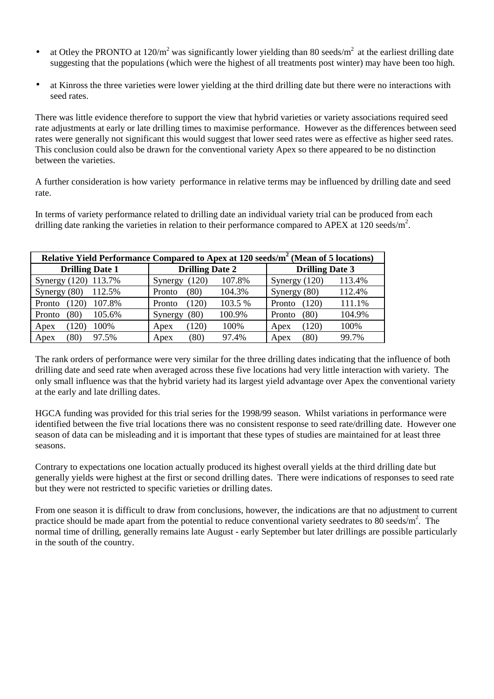- at Otley the PRONTO at 120/m<sup>2</sup> was significantly lower yielding than 80 seeds/m<sup>2</sup> at the earliest drilling date suggesting that the populations (which were the highest of all treatments post winter) may have been too high.
- at Kinross the three varieties were lower yielding at the third drilling date but there were no interactions with seed rates.

There was little evidence therefore to support the view that hybrid varieties or variety associations required seed rate adjustments at early or late drilling times to maximise performance. However as the differences between seed rates were generally not significant this would suggest that lower seed rates were as effective as higher seed rates. This conclusion could also be drawn for the conventional variety Apex so there appeared to be no distinction between the varieties.

A further consideration is how variety performance in relative terms may be influenced by drilling date and seed rate.

In terms of variety performance related to drilling date an individual variety trial can be produced from each drilling date ranking the varieties in relation to their performance compared to APEX at  $120$  seeds/m<sup>2</sup>.

| Relative Yield Performance Compared to Apex at 120 seeds/m <sup>2</sup> (Mean of 5 locations) |                            |                           |  |  |  |  |  |  |
|-----------------------------------------------------------------------------------------------|----------------------------|---------------------------|--|--|--|--|--|--|
| <b>Drilling Date 1</b>                                                                        | <b>Drilling Date 2</b>     | <b>Drilling Date 3</b>    |  |  |  |  |  |  |
| 113.7%<br>Synergy $(120)$                                                                     | 107.8%<br>(120)<br>Synergy | 113.4%<br>Synergy $(120)$ |  |  |  |  |  |  |
| 112.5%<br>Synergy $(80)$                                                                      | 104.3%<br>(80)<br>Pronto   | 112.4%<br>Synergy $(80)$  |  |  |  |  |  |  |
| 107.8%<br>Pronto                                                                              | 103.5 %<br>(120)<br>Pronto | (120)<br>111.1%<br>Pronto |  |  |  |  |  |  |
| 105.6%<br>(80<br>Pronto                                                                       | '80)<br>100.9%<br>Synergy  | 104.9%<br>(80)<br>Pronto  |  |  |  |  |  |  |
| (120)<br>100%<br>Apex                                                                         | 100%<br>(120)<br>Apex      | (120)<br>100%<br>Apex     |  |  |  |  |  |  |
| 97.5%<br>(80<br>Apex                                                                          | (80)<br>97.4%<br>Apex      | 99.7%<br>(80)<br>Apex     |  |  |  |  |  |  |

The rank orders of performance were very similar for the three drilling dates indicating that the influence of both drilling date and seed rate when averaged across these five locations had very little interaction with variety. The only small influence was that the hybrid variety had its largest yield advantage over Apex the conventional variety at the early and late drilling dates.

HGCA funding was provided for this trial series for the 1998/99 season. Whilst variations in performance were identified between the five trial locations there was no consistent response to seed rate/drilling date. However one season of data can be misleading and it is important that these types of studies are maintained for at least three seasons.

Contrary to expectations one location actually produced its highest overall yields at the third drilling date but generally yields were highest at the first or second drilling dates. There were indications of responses to seed rate but they were not restricted to specific varieties or drilling dates.

From one season it is difficult to draw from conclusions, however, the indications are that no adjustment to current practice should be made apart from the potential to reduce conventional variety seedrates to 80 seeds/ $m^2$ . The normal time of drilling, generally remains late August - early September but later drillings are possible particularly in the south of the country.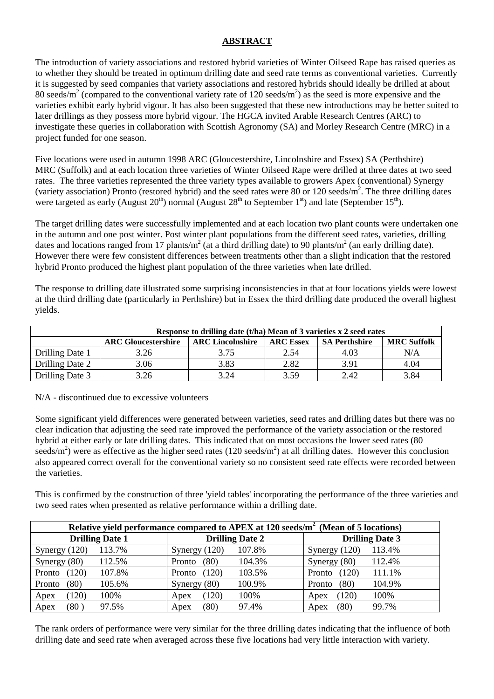#### **ABSTRACT**

The introduction of variety associations and restored hybrid varieties of Winter Oilseed Rape has raised queries as to whether they should be treated in optimum drilling date and seed rate terms as conventional varieties. Currently it is suggested by seed companies that variety associations and restored hybrids should ideally be drilled at about 80 seeds/m<sup>2</sup> (compared to the conventional variety rate of 120 seeds/m<sup>2</sup>) as the seed is more expensive and the varieties exhibit early hybrid vigour. It has also been suggested that these new introductions may be better suited to later drillings as they possess more hybrid vigour. The HGCA invited Arable Research Centres (ARC) to investigate these queries in collaboration with Scottish Agronomy (SA) and Morley Research Centre (MRC) in a project funded for one season.

Five locations were used in autumn 1998 ARC (Gloucestershire, Lincolnshire and Essex) SA (Perthshire) MRC (Suffolk) and at each location three varieties of Winter Oilseed Rape were drilled at three dates at two seed rates. The three varieties represented the three variety types available to growers Apex (conventional) Synergy (variety association) Pronto (restored hybrid) and the seed rates were 80 or 120 seeds/ $m^2$ . The three drilling dates were targeted as early (August  $20^{th}$ ) normal (August  $28^{th}$  to September 1<sup>st</sup>) and late (September 15<sup>th</sup>).

The target drilling dates were successfully implemented and at each location two plant counts were undertaken one in the autumn and one post winter. Post winter plant populations from the different seed rates, varieties, drilling dates and locations ranged from 17 plants/m<sup>2</sup> (at a third drilling date) to 90 plants/m<sup>2</sup> (an early drilling date). However there were few consistent differences between treatments other than a slight indication that the restored hybrid Pronto produced the highest plant population of the three varieties when late drilled.

The response to drilling date illustrated some surprising inconsistencies in that at four locations yields were lowest at the third drilling date (particularly in Perthshire) but in Essex the third drilling date produced the overall highest yields.

|                 | Response to drilling date (t/ha) Mean of 3 varieties x 2 seed rates |                         |                  |                      |                    |  |  |  |
|-----------------|---------------------------------------------------------------------|-------------------------|------------------|----------------------|--------------------|--|--|--|
|                 | <b>ARC Gloucestershire</b>                                          | <b>ARC Lincolnshire</b> | <b>ARC Essex</b> | <b>SA Perthshire</b> | <b>MRC Suffolk</b> |  |  |  |
| Drilling Date 1 | 3.26                                                                | 3.75                    | 2.54             | 4.03                 | N/A                |  |  |  |
| Drilling Date 2 | 3.06                                                                | 3.83                    | 2.82             | 3.91                 | 4.04               |  |  |  |
| Drilling Date 3 | 3.26                                                                | 3.24                    | 3.59             | 2.42                 | 3.84               |  |  |  |

N/A - discontinued due to excessive volunteers

Some significant yield differences were generated between varieties, seed rates and drilling dates but there was no clear indication that adjusting the seed rate improved the performance of the variety association or the restored hybrid at either early or late drilling dates. This indicated that on most occasions the lower seed rates (80 seeds/m<sup>2</sup>) were as effective as the higher seed rates (120 seeds/m<sup>2</sup>) at all drilling dates. However this conclusion also appeared correct overall for the conventional variety so no consistent seed rate effects were recorded between the varieties.

This is confirmed by the construction of three 'yield tables' incorporating the performance of the three varieties and two seed rates when presented as relative performance within a drilling date.

| Relative yield performance compared to APEX at 120 seeds/m <sup>2</sup> (Mean of 5 locations) |        |                        |       |        |                        |        |  |  |
|-----------------------------------------------------------------------------------------------|--------|------------------------|-------|--------|------------------------|--------|--|--|
| <b>Drilling Date 1</b>                                                                        |        | <b>Drilling Date 2</b> |       |        | <b>Drilling Date 3</b> |        |  |  |
| Synergy $(120)$                                                                               | 113.7% | Synergy $(120)$        |       | 107.8% | Synergy $(120)$        | 113.4% |  |  |
| Synergy $(80)$                                                                                | 112.5% | Pronto                 | (80)  | 104.3% | Synergy $(80)$         | 112.4% |  |  |
| (120)<br>Pronto                                                                               | 107.8% | Pronto                 | (120) | 103.5% | (120)<br>Pronto        | 111.1% |  |  |
| (80)<br>Pronto                                                                                | 105.6% | Synergy $(80)$         |       | 100.9% | (80)<br>Pronto         | 104.9% |  |  |
| 120)<br>Apex                                                                                  | 100%   | Apex                   | (120) | 100%   | 120)<br>Apex           | 100%   |  |  |
| (80)<br>Apex                                                                                  | 97.5%  | Apex                   | (80)  | 97.4%  | (80)<br>Apex           | 99.7%  |  |  |

The rank orders of performance were very similar for the three drilling dates indicating that the influence of both drilling date and seed rate when averaged across these five locations had very little interaction with variety.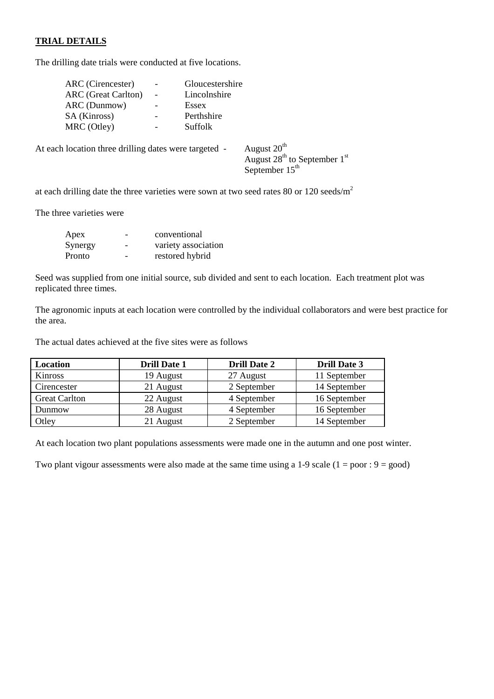#### **TRIAL DETAILS**

The drilling date trials were conducted at five locations.

| ARC (Cirencester)                                     |                 | Gloucestershire |                                                                                       |
|-------------------------------------------------------|-----------------|-----------------|---------------------------------------------------------------------------------------|
| <b>ARC</b> (Great Carlton)                            |                 | Lincolnshire    |                                                                                       |
| ARC (Dunmow)                                          | $\overline{a}$  | Essex           |                                                                                       |
| SA (Kinross)                                          | $\qquad \qquad$ | Perthshire      |                                                                                       |
| MRC (Otley)                                           |                 | Suffolk         |                                                                                       |
| At each location three drilling dates were targeted - |                 |                 | August 20 <sup>th</sup><br>August $28^{th}$ to September $1^{st}$<br>September $15th$ |

at each drilling date the three varieties were sown at two seed rates 80 or 120 seeds/ $m<sup>2</sup>$ 

The three varieties were

| Apex    | conventional        |
|---------|---------------------|
| Synergy | variety association |
| Pronto  | restored hybrid     |

Seed was supplied from one initial source, sub divided and sent to each location. Each treatment plot was replicated three times.

The agronomic inputs at each location were controlled by the individual collaborators and were best practice for the area.

The actual dates achieved at the five sites were as follows

| Location             | <b>Drill Date 1</b> | <b>Drill Date 2</b> | <b>Drill Date 3</b> |
|----------------------|---------------------|---------------------|---------------------|
| Kinross              | 19 August           | 27 August           | 11 September        |
| Cirencester          | 21 August           | 2 September         | 14 September        |
| <b>Great Carlton</b> | 22 August           | 4 September         | 16 September        |
| Dunmow               | 28 August           | 4 September         | 16 September        |
| Otley                | 21 August           | 2 September         | 14 September        |

At each location two plant populations assessments were made one in the autumn and one post winter.

Two plant vigour assessments were also made at the same time using a 1-9 scale  $(1 = poor : 9 = good)$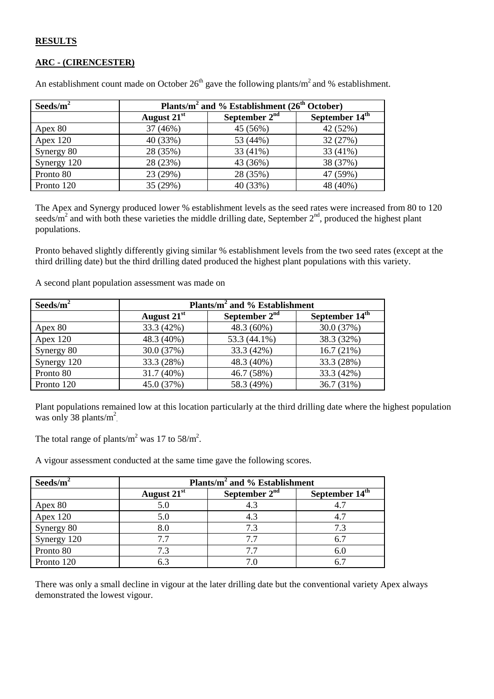#### **RESULTS**

#### **ARC - (CIRENCESTER)**

| Seeds/ $m^2$ | Plants/m <sup>2</sup> and % Establishment ( $26th October$ ) |                 |          |  |  |
|--------------|--------------------------------------------------------------|-----------------|----------|--|--|
|              | August 21 <sup>st</sup>                                      | September $2nd$ |          |  |  |
| Apex 80      | 37 (46%)                                                     | 45 (56%)        | 42 (52%) |  |  |
| Apex $120$   | 40 (33%)                                                     | 53 (44%)        | 32 (27%) |  |  |
| Synergy 80   | 28 (35%)                                                     | 33 (41%)        | 33 (41%) |  |  |
| Synergy 120  | 28 (23%)                                                     | 43 (36%)        | 38 (37%) |  |  |
| Pronto 80    | 23 (29%)                                                     | 28 (35%)        | 47 (59%) |  |  |
| Pronto 120   | 35 (29%)                                                     | 40 (33%)        | 48 (40%) |  |  |

An establishment count made on October  $26<sup>th</sup>$  gave the following plants/m<sup>2</sup> and % establishment.

The Apex and Synergy produced lower % establishment levels as the seed rates were increased from 80 to 120 seeds/ $m^2$  and with both these varieties the middle drilling date, September  $2<sup>nd</sup>$ , produced the highest plant populations.

Pronto behaved slightly differently giving similar % establishment levels from the two seed rates (except at the third drilling date) but the third drilling dated produced the highest plant populations with this variety.

A second plant population assessment was made on

| Seeds/ $m^2$ | Plants/m <sup>2</sup> and % Establishment  |              |                            |  |  |
|--------------|--------------------------------------------|--------------|----------------------------|--|--|
|              | September $2nd$<br>August 21 <sup>st</sup> |              | September 14 <sup>th</sup> |  |  |
| Apex 80      | 33.3 (42%)                                 | 48.3 (60%)   | 30.0 (37%)                 |  |  |
| Apex $120$   | 48.3 (40%)                                 | 53.3 (44.1%) | 38.3 (32%)                 |  |  |
| Synergy 80   | 30.0 (37%)                                 | 33.3 (42%)   | 16.7(21%)                  |  |  |
| Synergy 120  | 33.3 (28%)                                 | 48.3 (40%)   | 33.3 (28%)                 |  |  |
| Pronto 80    | 31.7 (40%)                                 | 46.7 (58%)   | 33.3 (42%)                 |  |  |
| Pronto 120   | 45.0 (37%)                                 | 58.3 (49%)   | 36.7 (31%)                 |  |  |

Plant populations remained low at this location particularly at the third drilling date where the highest population was only 38 plants/ $m^2$ .

The total range of plants/m<sup>2</sup> was 17 to 58/m<sup>2</sup>.

A vigour assessment conducted at the same time gave the following scores.

| Seeds/ $m^2$ | Plants/ $m^2$ and % Establishment |                            |     |  |
|--------------|-----------------------------------|----------------------------|-----|--|
|              | August 21 <sup>st</sup>           | September 14 <sup>th</sup> |     |  |
| Apex 80      | 5.0                               | 4.3                        |     |  |
| Apex $120$   | 5.0                               | 4.3                        | 4.7 |  |
| Synergy 80   | 8.0                               | 7.3                        | 7.3 |  |
| Synergy 120  | 7.7                               | 7.7                        | 6.7 |  |
| Pronto 80    | 7.3                               | 7.7                        | 6.C |  |
| Pronto 120   | 6.3                               | 7.0                        |     |  |

There was only a small decline in vigour at the later drilling date but the conventional variety Apex always demonstrated the lowest vigour.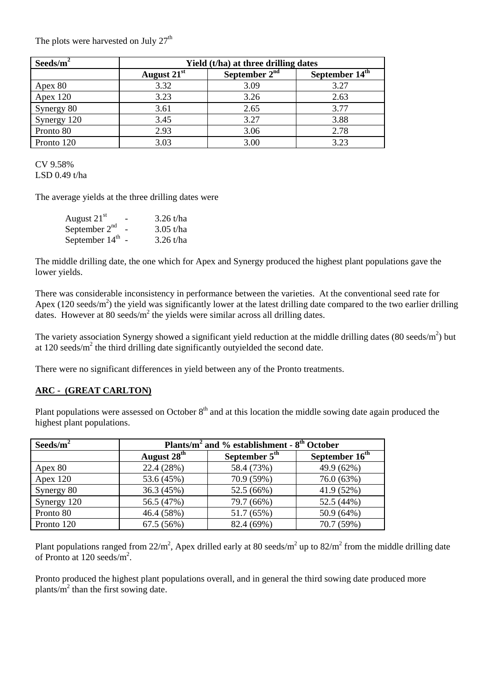The plots were harvested on July  $27<sup>th</sup>$ 

| Seeds/ $m^2$ |               |                 | Yield (t/ha) at three drilling dates |  |  |
|--------------|---------------|-----------------|--------------------------------------|--|--|
|              | August $21st$ | September $2nd$ | September 14 <sup>th</sup>           |  |  |
| Apex 80      | 3.32          | 3.09            | 3.27                                 |  |  |
| Apex $120$   | 3.23          | 3.26            |                                      |  |  |
| Synergy 80   | 3.61          | 2.65            | 3.77                                 |  |  |
| Synergy 120  | 3.45          | 3.27            | 3.88                                 |  |  |
| Pronto 80    | 2.93          | 3.06            | 2.78                                 |  |  |
| Pronto 120   | 3.03          | 3.00            | 3.23                                 |  |  |

CV 9.58% LSD 0.49 t/ha

The average yields at the three drilling dates were

| August $21st$    | $3.26$ t/ha |
|------------------|-------------|
| September $2nd$  | $3.05$ t/ha |
| September $14th$ | $3.26$ t/ha |

The middle drilling date, the one which for Apex and Synergy produced the highest plant populations gave the lower yields.

There was considerable inconsistency in performance between the varieties. At the conventional seed rate for Apex (120 seeds/m<sup>2</sup>) the yield was significantly lower at the latest drilling date compared to the two earlier drilling dates. However at 80 seeds/ $m^2$  the yields were similar across all drilling dates.

The variety association Synergy showed a significant yield reduction at the middle drilling dates  $(80 \text{ seeds/m}^2)$  but at  $120$  seeds/ $m<sup>2</sup>$  the third drilling date significantly outyielded the second date.

There were no significant differences in yield between any of the Pronto treatments.

#### **ARC - (GREAT CARLTON)**

Plant populations were assessed on October  $8<sup>th</sup>$  and at this location the middle sowing date again produced the highest plant populations.

| Seeds/ $m^2$ | Plants/ $m^2$ and % establishment - $8th$ October |                 |            |  |  |
|--------------|---------------------------------------------------|-----------------|------------|--|--|
|              | August 28 <sup>th</sup>                           | September $5th$ |            |  |  |
| Apex 80      | 22.4 (28%)                                        | 58.4 (73%)      | 49.9 (62%) |  |  |
| Apex $120$   | 53.6 (45%)                                        | 70.9 (59%)      | 76.0 (63%) |  |  |
| Synergy 80   | 36.3 (45%)                                        | 52.5 (66%)      | 41.9 (52%) |  |  |
| Synergy 120  | 56.5 (47%)                                        | 79.7 (66%)      | 52.5 (44%) |  |  |
| Pronto 80    | 46.4 (58%)                                        | 51.7 (65%)      | 50.9 (64%) |  |  |
| Pronto 120   | 67.5 (56%)                                        | 82.4 (69%)      | 70.7 (59%) |  |  |

Plant populations ranged from 22/m<sup>2</sup>, Apex drilled early at 80 seeds/m<sup>2</sup> up to 82/m<sup>2</sup> from the middle drilling date of Pronto at 120 seeds/m<sup>2</sup>.

Pronto produced the highest plant populations overall, and in general the third sowing date produced more plants/ $\overline{m}^2$  than the first sowing date.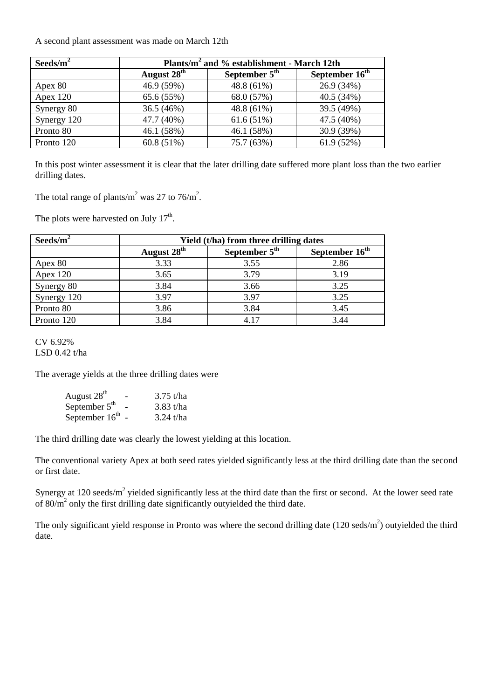A second plant assessment was made on March 12th

| Seeds/ $m^2$ | Plants/m <sup>2</sup> and % establishment - March 12th |            |                            |  |  |
|--------------|--------------------------------------------------------|------------|----------------------------|--|--|
|              | August 28 <sup>th</sup><br>September $5th$             |            | September 16 <sup>th</sup> |  |  |
| Apex 80      | 46.9 (59%)                                             | 48.8 (61%) | 26.9 (34%)                 |  |  |
| Apex $120$   | 65.6 (55%)                                             | 68.0 (57%) | 40.5 (34%)                 |  |  |
| Synergy 80   | 36.5 (46%)                                             | 48.8 (61%) | 39.5 (49%)                 |  |  |
| Synergy 120  | 47.7 (40%)                                             | 61.6(51%)  | 47.5 (40%)                 |  |  |
| Pronto 80    | 46.1 (58%)                                             | 46.1 (58%) | 30.9 (39%)                 |  |  |
| Pronto 120   | 60.8(51%)                                              | 75.7 (63%) | 61.9(52%)                  |  |  |

In this post winter assessment it is clear that the later drilling date suffered more plant loss than the two earlier drilling dates.

The total range of plants/m<sup>2</sup> was 27 to 76/m<sup>2</sup>.

The plots were harvested on July  $17<sup>th</sup>$ .

| Seeds/ $m^2$ | Yield (t/ha) from three drilling dates |                 |                            |  |  |
|--------------|----------------------------------------|-----------------|----------------------------|--|--|
|              | August 28 <sup>th</sup>                | September $5th$ | September 16 <sup>th</sup> |  |  |
| Apex 80      | 3.33                                   | 3.55            | 2.86                       |  |  |
| Apex $120$   | 3.65                                   | 3.79            | 3.19                       |  |  |
| Synergy 80   | 3.84                                   | 3.66            | 3.25                       |  |  |
| Synergy 120  | 3.97                                   | 3.97            | 3.25                       |  |  |
| Pronto 80    | 3.86                                   | 3.84            | 3.45                       |  |  |
| Pronto 120   | 3.84                                   | 4.17            | 3.44                       |  |  |

CV 6.92% LSD 0.42 t/ha

The average yields at the three drilling dates were

| August $28th$    | $3.75$ t/ha |
|------------------|-------------|
| September $5th$  | $3.83$ t/ha |
| September $16th$ | $3.24$ t/ha |

The third drilling date was clearly the lowest yielding at this location.

The conventional variety Apex at both seed rates yielded significantly less at the third drilling date than the second or first date.

Synergy at 120 seeds/ $m^2$  yielded significantly less at the third date than the first or second. At the lower seed rate of  $80/m^2$  only the first drilling date significantly outyielded the third date.

The only significant yield response in Pronto was where the second drilling date  $(120 \text{ seds/m}^2)$  outyielded the third date.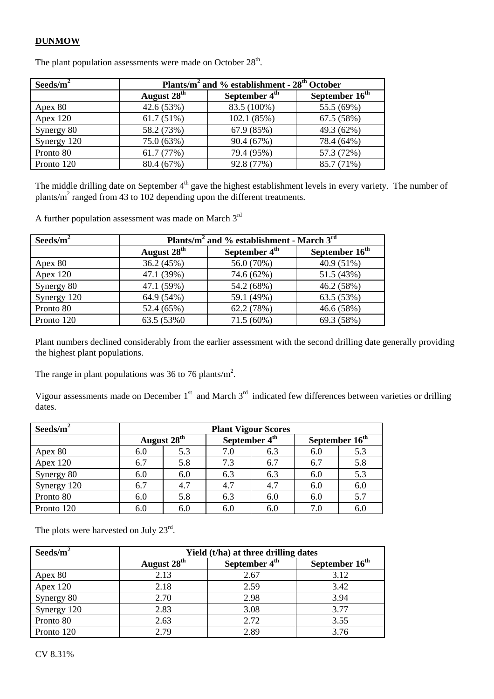#### **DUNMOW**

The plant population assessments were made on October  $28<sup>th</sup>$ .

| Seeds/ $m^2$ | Plants/ $m^2$ and % establishment - $28th$ October |                           |                            |  |  |
|--------------|----------------------------------------------------|---------------------------|----------------------------|--|--|
|              | August 28 <sup>th</sup>                            | September 4 <sup>th</sup> | September 16 <sup>th</sup> |  |  |
| Apex 80      | 42.6 (53%)                                         | 83.5 (100%)               | 55.5 (69%)                 |  |  |
| Apex $120$   | 61.7(51%)                                          | 102.1 (85%)               | 67.5 (58%)                 |  |  |
| Synergy 80   | 58.2 (73%)                                         | 67.9 (85%)                | 49.3 (62%)                 |  |  |
| Synergy 120  | 75.0 (63%)                                         | 90.4 (67%)                | 78.4 (64%)                 |  |  |
| Pronto 80    | 61.7(77%)                                          | 79.4 (95%)                | 57.3 (72%)                 |  |  |
| Pronto 120   | 80.4 (67%)                                         | 92.8 (77%)                | 85.7 (71%)                 |  |  |

The middle drilling date on September 4<sup>th</sup> gave the highest establishment levels in every variety. The number of plants/ $m^2$  ranged from 43 to 102 depending upon the different treatments.

A further population assessment was made on March 3rd

| Seeds/ $m^2$ | Plants/m <sup>2</sup> and % establishment - March $3rd$ |                           |                            |  |  |
|--------------|---------------------------------------------------------|---------------------------|----------------------------|--|--|
|              | August 28 <sup>th</sup>                                 | September 4 <sup>th</sup> | September 16 <sup>th</sup> |  |  |
| Apex 80      | 36.2 (45%)                                              | 56.0 (70%)                | 40.9 (51%)                 |  |  |
| Apex $120$   | 47.1 (39%)                                              | 74.6 (62%)                | 51.5 (43%)                 |  |  |
| Synergy 80   | 47.1 (59%)                                              | 54.2 (68%)                | 46.2 (58%)                 |  |  |
| Synergy 120  | 64.9 (54%)                                              | 59.1 (49%)                | 63.5 (53%)                 |  |  |
| Pronto 80    | 52.4 (65%)                                              | 62.2 (78%)                | 46.6 (58%)                 |  |  |
| Pronto 120   | 63.5 (53%0)                                             | $71.5(60\%)$              | 69.3 (58%)                 |  |  |

Plant numbers declined considerably from the earlier assessment with the second drilling date generally providing the highest plant populations.

The range in plant populations was 36 to 76 plants/ $m^2$ .

Vigour assessments made on December  $1<sup>st</sup>$  and March  $3<sup>rd</sup>$  indicated few differences between varieties or drilling dates.

| Seeds/ $m^2$ | <b>Plant Vigour Scores</b> |                         |                                                         |     |     |     |
|--------------|----------------------------|-------------------------|---------------------------------------------------------|-----|-----|-----|
|              |                            | August 28 <sup>th</sup> | September 16 <sup>th</sup><br>September 4 <sup>th</sup> |     |     |     |
| Apex 80      | 6.0                        | 5.3                     | 7.0                                                     | 6.3 | 6.0 | 5.3 |
| Apex $120$   | 6.7                        | 5.8                     | 7.3                                                     | 6.7 | 6.7 | 5.8 |
| Synergy 80   | 6.0                        | 6.0                     | 6.3                                                     | 6.3 | 6.0 | 5.3 |
| Synergy 120  | 6.7                        | 4.7                     | 4.7                                                     | 4.7 | 6.0 | 6.0 |
| Pronto 80    | 6.0                        | 5.8                     | 6.3                                                     | 6.0 | 6.0 | 5.7 |
| Pronto 120   | 6.0                        | 6.0                     | 6.0                                                     | 6.0 | 7.0 | 6.0 |

The plots were harvested on July 23<sup>rd</sup>.

| Seeds/ $m^2$ | Yield (t/ha) at three drilling dates                 |      |                            |
|--------------|------------------------------------------------------|------|----------------------------|
|              | August 28 <sup>th</sup><br>September 4 <sup>th</sup> |      | September 16 <sup>th</sup> |
| Apex 80      | 2.13                                                 | 2.67 | 3.12                       |
| Apex $120$   | 2.18                                                 | 2.59 | 3.42                       |
| Synergy 80   | 2.70                                                 | 2.98 | 3.94                       |
| Synergy 120  | 2.83                                                 | 3.08 | 3.77                       |
| Pronto 80    | 2.63                                                 | 2.72 | 3.55                       |
| Pronto 120   | 2.79                                                 | 2.89 | 3.76                       |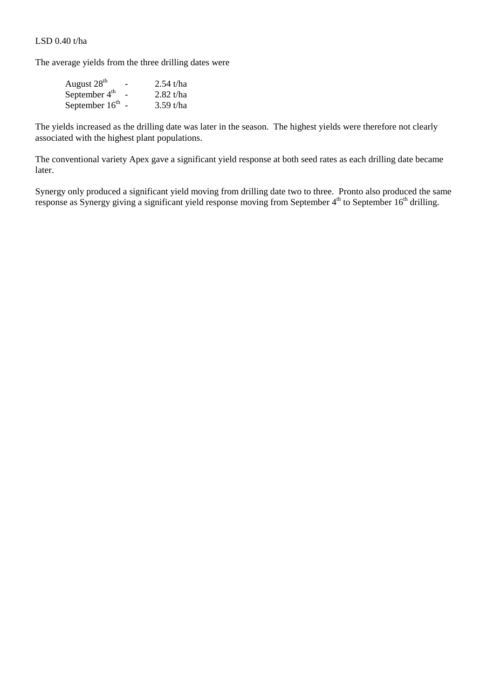LSD 0.40 t/ha

The average yields from the three drilling dates were

| August $28th$    | - | 2.54 t/ha   |
|------------------|---|-------------|
| September $4th$  |   | $2.82$ t/ha |
| September $16th$ |   | $3.59$ t/ha |

The yields increased as the drilling date was later in the season. The highest yields were therefore not clearly associated with the highest plant populations.

The conventional variety Apex gave a significant yield response at both seed rates as each drilling date became later.

Synergy only produced a significant yield moving from drilling date two to three. Pronto also produced the same response as Synergy giving a significant yield response moving from September 4<sup>th</sup> to September 16<sup>th</sup> drilling.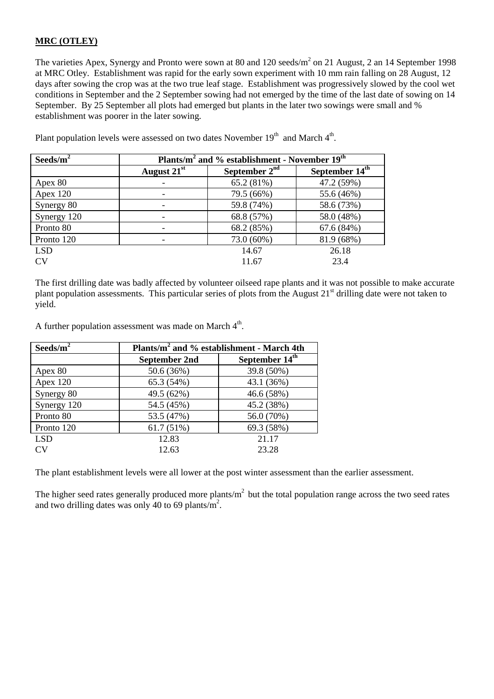#### **MRC (OTLEY)**

The varieties Apex, Synergy and Pronto were sown at 80 and 120 seeds/ $m<sup>2</sup>$  on 21 August, 2 an 14 September 1998 at MRC Otley. Establishment was rapid for the early sown experiment with 10 mm rain falling on 28 August, 12 days after sowing the crop was at the two true leaf stage. Establishment was progressively slowed by the cool wet conditions in September and the 2 September sowing had not emerged by the time of the last date of sowing on 14 September. By 25 September all plots had emerged but plants in the later two sowings were small and % establishment was poorer in the later sowing.

| Seeds/ $m^2$ | Plants/m <sup>2</sup> and % establishment - November 19 <sup>th</sup> |                 |                            |
|--------------|-----------------------------------------------------------------------|-----------------|----------------------------|
|              | August 21 <sup>st</sup>                                               | September $2nd$ | September 14 <sup>th</sup> |
| Apex 80      |                                                                       | 65.2 (81%)      | 47.2 (59%)                 |
| Apex 120     |                                                                       | 79.5 (66%)      | 55.6 (46%)                 |
| Synergy 80   |                                                                       | 59.8 (74%)      | 58.6 (73%)                 |
| Synergy 120  |                                                                       | 68.8 (57%)      | 58.0 (48%)                 |
| Pronto 80    |                                                                       | 68.2 (85%)      | 67.6(84%)                  |
| Pronto 120   |                                                                       | 73.0 (60%)      | 81.9 (68%)                 |
| <b>LSD</b>   |                                                                       | 14.67           | 26.18                      |
| CV           |                                                                       | 11.67           | 23.4                       |

Plant population levels were assessed on two dates November  $19<sup>th</sup>$  and March  $4<sup>th</sup>$ .

The first drilling date was badly affected by volunteer oilseed rape plants and it was not possible to make accurate plant population assessments. This particular series of plots from the August 21<sup>st</sup> drilling date were not taken to yield.

A further population assessment was made on March  $4<sup>th</sup>$ .

| Seeds/ $m^2$ | Plants/m <sup>2</sup> and % establishment - March 4th |                            |  |
|--------------|-------------------------------------------------------|----------------------------|--|
|              | <b>September 2nd</b>                                  | September 14 <sup>th</sup> |  |
| Apex 80      | 50.6 (36%)                                            | 39.8 (50%)                 |  |
| Apex 120     | 65.3 (54%)                                            | 43.1 (36%)                 |  |
| Synergy 80   | 49.5 (62%)                                            | 46.6 (58%)                 |  |
| Synergy 120  | 54.5 (45%)                                            | 45.2 (38%)                 |  |
| Pronto 80    | 53.5 (47%)                                            | 56.0 (70%)                 |  |
| Pronto 120   | 61.7(51%)                                             | 69.3 (58%)                 |  |
| <b>LSD</b>   | 12.83                                                 | 21.17                      |  |
| CV)          | 12.63                                                 | 23.28                      |  |

The plant establishment levels were all lower at the post winter assessment than the earlier assessment.

The higher seed rates generally produced more plants/ $m<sup>2</sup>$  but the total population range across the two seed rates and two drilling dates was only 40 to 69 plants/ $m^2$ .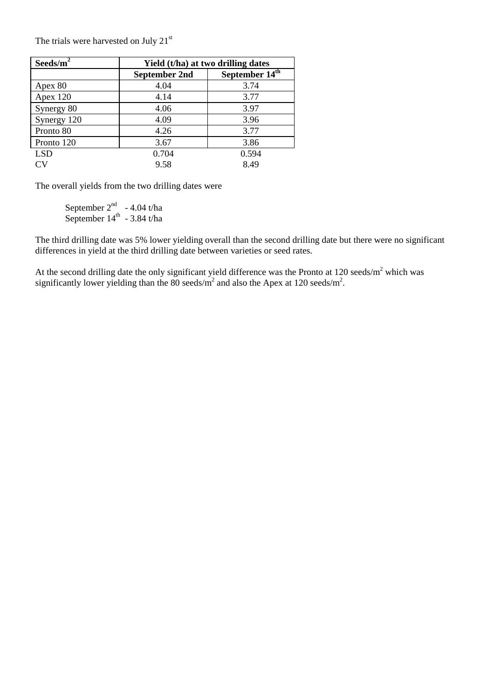The trials were harvested on July  $21<sup>st</sup>$ 

| Seeds/ $m^2$ | Yield (t/ha) at two drilling dates |                            |  |
|--------------|------------------------------------|----------------------------|--|
|              | <b>September 2nd</b>               | September 14 <sup>th</sup> |  |
| Apex 80      | 4.04                               | 3.74                       |  |
| Apex 120     | 4.14                               | 3.77                       |  |
| Synergy 80   | 4.06                               | 3.97                       |  |
| Synergy 120  | 4.09                               | 3.96                       |  |
| Pronto 80    | 4.26                               | 3.77                       |  |
| Pronto 120   | 3.67                               | 3.86                       |  |
| <b>LSD</b>   | 0.704                              | 0.594                      |  |
| $\Gamma$ V   | 9.58                               | 8.49                       |  |

The overall yields from the two drilling dates were

September  $2^{nd}$  - 4.04 t/ha September  $14^{\text{th}}$  - 3.84 t/ha

The third drilling date was 5% lower yielding overall than the second drilling date but there were no significant differences in yield at the third drilling date between varieties or seed rates.

At the second drilling date the only significant yield difference was the Pronto at  $120$  seeds/m<sup>2</sup> which was significantly lower yielding than the 80 seeds/ $m^2$  and also the Apex at 120 seeds/m<sup>2</sup>.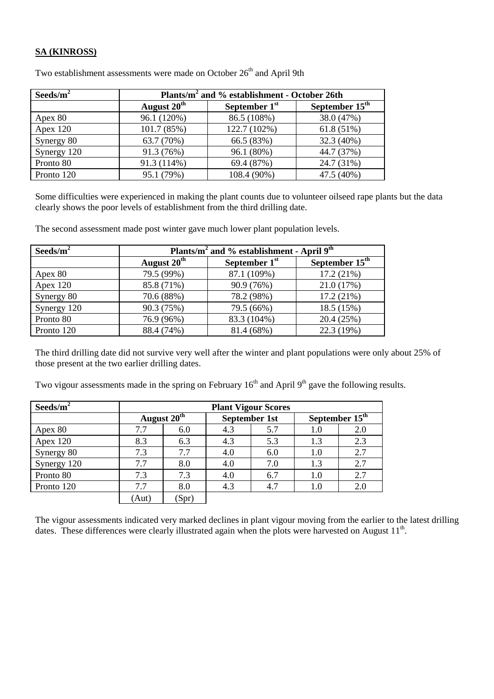#### **SA (KINROSS)**

| Seeds/ $m^2$ | Plants/m <sup>2</sup> and % establishment - October 26th |              |                  |
|--------------|----------------------------------------------------------|--------------|------------------|
|              | August 20 <sup>th</sup><br>September $1st$               |              | September $15th$ |
| Apex 80      | 96.1 (120%)                                              | 86.5 (108%)  | 38.0 (47%)       |
| Apex $120$   | 101.7(85%)                                               | 122.7 (102%) | 61.8(51%)        |
| Synergy 80   | 63.7 (70%)                                               | 66.5 (83%)   | 32.3 (40%)       |
| Synergy 120  | 91.3 (76%)                                               | 96.1 (80%)   | 44.7 (37%)       |
| Pronto 80    | 91.3 (114%)                                              | 69.4 (87%)   | 24.7 (31%)       |
| Pronto 120   | 95.1 (79%)                                               | 108.4 (90%)  | 47.5 (40%)       |

Two establishment assessments were made on October  $26<sup>th</sup>$  and April 9th

Some difficulties were experienced in making the plant counts due to volunteer oilseed rape plants but the data clearly shows the poor levels of establishment from the third drilling date.

The second assessment made post winter gave much lower plant population levels.

| Seeds/ $m^2$ | Plants/ $m^2$ and % establishment - April $9th$ |                 |                            |
|--------------|-------------------------------------------------|-----------------|----------------------------|
|              | August 20 <sup>th</sup>                         | September $1st$ | September 15 <sup>th</sup> |
| Apex 80      | 79.5 (99%)                                      | 87.1 (109%)     | 17.2(21%)                  |
| Apex 120     | 85.8 (71%)                                      | 90.9 (76%)      | 21.0 (17%)                 |
| Synergy 80   | 70.6 (88%)                                      | 78.2 (98%)      | 17.2(21%)                  |
| Synergy 120  | 90.3 (75%)                                      | 79.5 (66%)      | 18.5 (15%)                 |
| Pronto 80    | 76.9 (96%)                                      | 83.3 (104%)     | 20.4 (25%)                 |
| Pronto 120   | 88.4 (74%)                                      | 81.4 (68%)      | 22.3 (19%)                 |

The third drilling date did not survive very well after the winter and plant populations were only about 25% of those present at the two earlier drilling dates.

Two vigour assessments made in the spring on February  $16<sup>th</sup>$  and April 9<sup>th</sup> gave the following results.

| Seeds/ $m^2$ | <b>Plant Vigour Scores</b> |               |     |               |         |                  |
|--------------|----------------------------|---------------|-----|---------------|---------|------------------|
|              |                            | August $20th$ |     | September 1st |         | September $15th$ |
| Apex 80      | 7.7                        | 6.0           | 4.3 | 5.7           | 1.0     | 2.0              |
| Apex $120$   | 8.3                        | 6.3           | 4.3 | 5.3           | 1.3     | 2.3              |
| Synergy 80   | 7.3                        | 7.7           | 4.0 | 6.0           | 1.0     | 2.7              |
| Synergy 120  | 7.7                        | 8.0           | 4.0 | 7.0           | 1.3     | 2.7              |
| Pronto 80    | 7.3                        | 7.3           | 4.0 | 6.7           | $1.0\,$ | 2.7              |
| Pronto 120   | 7.7                        | 8.0           | 4.3 | 4.7           | 1.0     | 2.0              |
|              | (Aut)                      | (Spr)         |     |               |         |                  |

The vigour assessments indicated very marked declines in plant vigour moving from the earlier to the latest drilling dates. These differences were clearly illustrated again when the plots were harvested on August 11<sup>th</sup>.